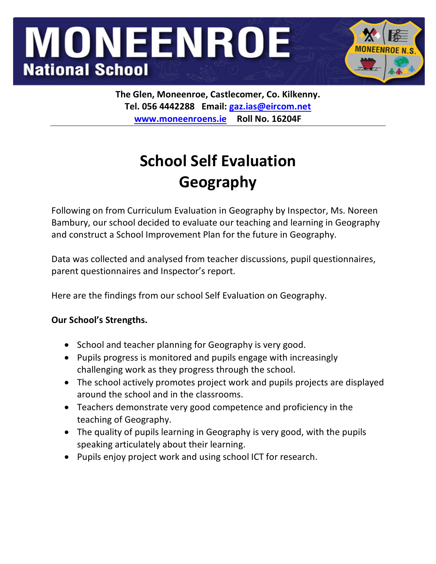# **MONEENROE National School**



**The Glen, Moneenroe, Castlecomer, Co. Kilkenny. Tel. 056 4442288 Email: gaz.ias@eircom.net www.moneenroens.ie Roll No. 16204F**

## **School Self Evaluation Geography**

Following on from Curriculum Evaluation in Geography by Inspector, Ms. Noreen Bambury, our school decided to evaluate our teaching and learning in Geography and construct a School Improvement Plan for the future in Geography.

Data was collected and analysed from teacher discussions, pupil questionnaires, parent questionnaires and Inspector's report.

Here are the findings from our school Self Evaluation on Geography.

### **Our School's Strengths.**

- School and teacher planning for Geography is very good.
- Pupils progress is monitored and pupils engage with increasingly challenging work as they progress through the school.
- The school actively promotes project work and pupils projects are displayed around the school and in the classrooms.
- Teachers demonstrate very good competence and proficiency in the teaching of Geography.
- The quality of pupils learning in Geography is very good, with the pupils speaking articulately about their learning.
- Pupils enjoy project work and using school ICT for research.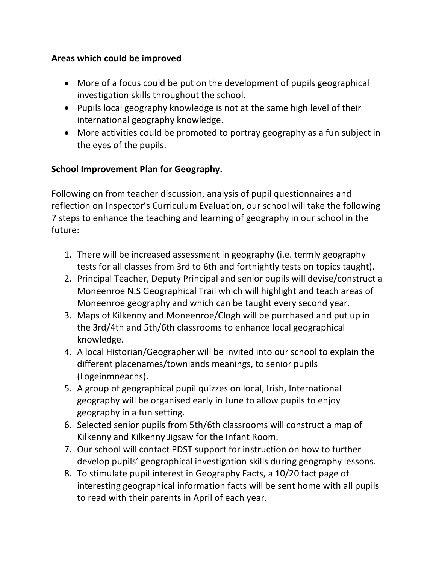#### **Areas which could be improved**

- More of a focus could be put on the development of pupils geographical investigation skills throughout the school.
- Pupils local geography knowledge is not at the same high level of their international geography knowledge.
- More activities could be promoted to portray geography as a fun subject in the eyes of the pupils.

#### **School Improvement Plan for Geography.**

Following on from teacher discussion, analysis of pupil questionnaires and reflection on Inspector's Curriculum Evaluation, our school will take the following 7 steps to enhance the teaching and learning of geography in our school in the future:

- 1. There will be increased assessment in geography (i.e. termly geography tests for all classes from 3rd to 6th and fortnightly tests on topics taught).
- 2. Principal Teacher, Deputy Principal and senior pupils will devise/construct a Moneenroe N.S Geographical Trail which will highlight and teach areas of Moneenroe geography and which can be taught every second year.
- 3. Maps of Kilkenny and Moneenroe/Clogh will be purchased and put up in the 3rd/4th and 5th/6th classrooms to enhance local geographical knowledge.
- 4. A local Historian/Geographer will be invited into our school to explain the different placenames/townlands meanings, to senior pupils (Logeinmneachs).
- 5. A group of geographical pupil quizzes on local, Irish, International geography will be organised early in June to allow pupils to enjoy geography in a fun setting.
- 6. Selected senior pupils from 5th/6th classrooms will construct a map of Kilkenny and Kilkenny Jigsaw for the Infant Room.
- 7. Our school will contact PDST support for instruction on how to further develop pupils' geographical investigation skills during geography lessons.
- 8. To stimulate pupil interest in Geography Facts, a 10/20 fact page of interesting geographical information facts will be sent home with all pupils to read with their parents in April of each year.